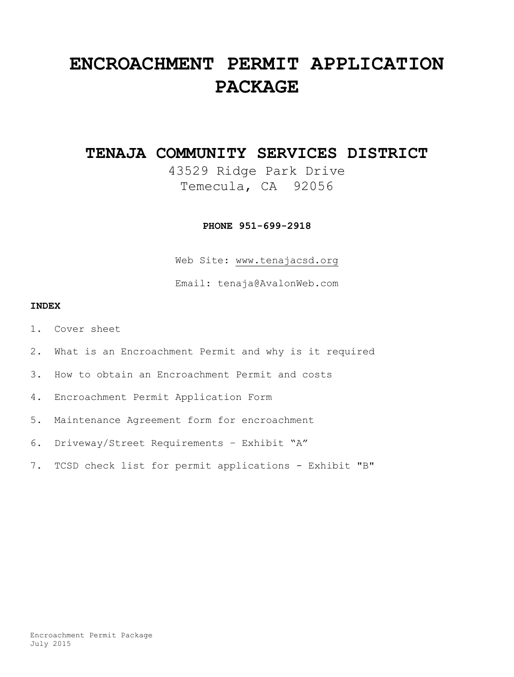# **ENCROACHMENT PERMIT APPLICATION PACKAGE**

## **TENAJA COMMUNITY SERVICES DISTRICT**

43529 Ridge Park Drive Temecula, CA 92056

**PHONE 951-699-2918**

Web Site: [www.tenajacsd.org](http://www.tenajacsd.org/)

Email: tenaja@AvalonWeb.com

#### **INDEX**

- 1. Cover sheet
- 2. What is an Encroachment Permit and why is it required
- 3. How to obtain an Encroachment Permit and costs
- 4. Encroachment Permit Application Form
- 5. Maintenance Agreement form for encroachment
- 6. Driveway/Street Requirements Exhibit "A"
- 7. TCSD check list for permit applications Exhibit "B"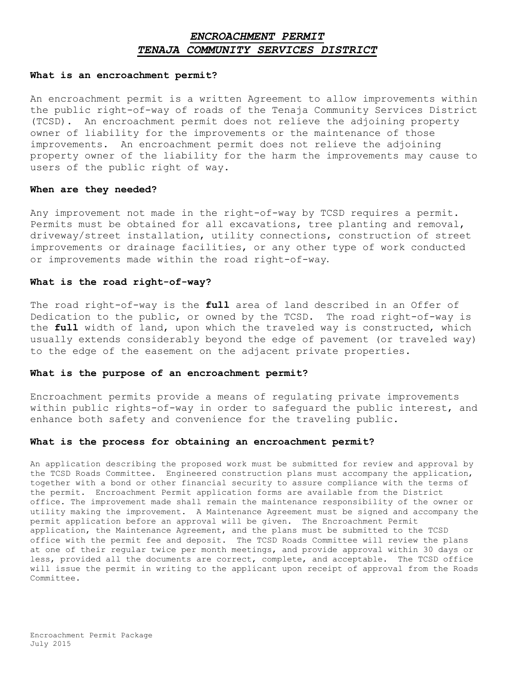## *ENCROACHMENT PERMIT TENAJA COMMUNITY SERVICES DISTRICT*

#### **What is an encroachment permit?**

An encroachment permit is a written Agreement to allow improvements within the public right-of-way of roads of the Tenaja Community Services District (TCSD). An encroachment permit does not relieve the adjoining property owner of liability for the improvements or the maintenance of those improvements. An encroachment permit does not relieve the adjoining property owner of the liability for the harm the improvements may cause to users of the public right of way.

#### **When are they needed?**

Any improvement not made in the right-of-way by TCSD requires a permit. Permits must be obtained for all excavations, tree planting and removal, driveway/street installation, utility connections, construction of street improvements or drainage facilities, or any other type of work conducted or improvements made within the road right-of-way.

#### **What is the road right-of-way?**

The road right-of-way is the **full** area of land described in an Offer of Dedication to the public, or owned by the TCSD. The road right-of-way is the **full** width of land, upon which the traveled way is constructed, which usually extends considerably beyond the edge of pavement (or traveled way) to the edge of the easement on the adjacent private properties.

#### **What is the purpose of an encroachment permit?**

Encroachment permits provide a means of regulating private improvements within public rights-of-way in order to safeguard the public interest, and enhance both safety and convenience for the traveling public.

#### **What is the process for obtaining an encroachment permit?**

An application describing the proposed work must be submitted for review and approval by the TCSD Roads Committee. Engineered construction plans must accompany the application, together with a bond or other financial security to assure compliance with the terms of the permit. Encroachment Permit application forms are available from the District office. The improvement made shall remain the maintenance responsibility of the owner or utility making the improvement. A Maintenance Agreement must be signed and accompany the permit application before an approval will be given. The Encroachment Permit application, the Maintenance Agreement, and the plans must be submitted to the TCSD office with the permit fee and deposit. The TCSD Roads Committee will review the plans at one of their regular twice per month meetings, and provide approval within 30 days or less, provided all the documents are correct, complete, and acceptable. The TCSD office will issue the permit in writing to the applicant upon receipt of approval from the Roads Committee.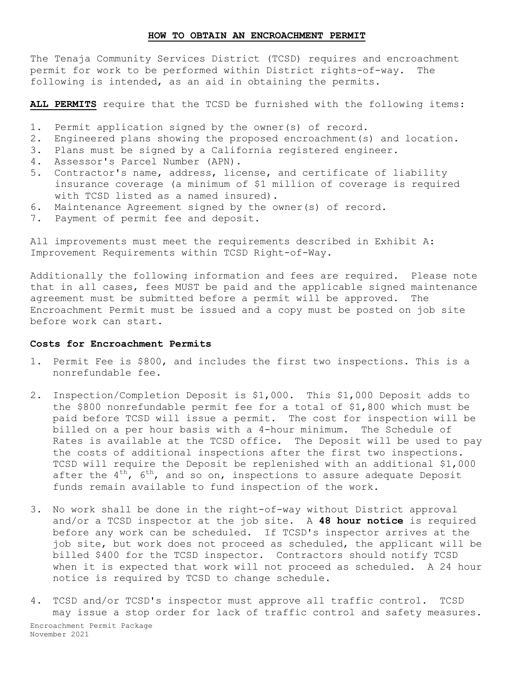#### **HOW TO OBTAIN AN ENCROACHMENT PERMIT**

The Tenaja Community Services District (TCSD) requires and encroachment permit for work to be performed within District rights-of-way. The following is intended, as an aid in obtaining the permits.

**ALL PERMITS** require that the TCSD be furnished with the following items:

- 1. Permit application signed by the owner(s) of record.
- 2. Engineered plans showing the proposed encroachment(s) and location.
- 3. Plans must be signed by a California registered engineer.
- 4. Assessor's Parcel Number (APN).
- 5. Contractor's name, address, license, and certificate of liability insurance coverage (a minimum of \$1 million of coverage is required with TCSD listed as a named insured).
- 6. Maintenance Agreement signed by the owner(s) of record.
- 7. Payment of permit fee and deposit.

All improvements must meet the requirements described in Exhibit A: Improvement Requirements within TCSD Right-of-Way.

Additionally the following information and fees are required. Please note that in all cases, fees MUST be paid and the applicable signed maintenance agreement must be submitted before a permit will be approved. The Encroachment Permit must be issued and a copy must be posted on job site before work can start.

#### **Costs for Encroachment Permits**

- 1. Permit Fee is \$800, and includes the first two inspections. This is a nonrefundable fee.
- 2. Inspection/Completion Deposit is \$1,000. This \$1,000 Deposit adds to the \$800 nonrefundable permit fee for a total of \$1,800 which must be paid before TCSD will issue a permit. The cost for inspection will be billed on a per hour basis with a 4-hour minimum. The Schedule of Rates is available at the TCSD office. The Deposit will be used to pay the costs of additional inspections after the first two inspections. TCSD will require the Deposit be replenished with an additional \$1,000 after the  $4^{th}$ ,  $6^{th}$ , and so on, inspections to assure adequate Deposit funds remain available to fund inspection of the work.
- 3. No work shall be done in the right-of-way without District approval and/or a TCSD inspector at the job site. A **48 hour notice** is required before any work can be scheduled. If TCSD's inspector arrives at the job site, but work does not proceed as scheduled, the applicant will be billed \$400 for the TCSD inspector. Contractors should notify TCSD when it is expected that work will not proceed as scheduled. A 24 hour notice is required by TCSD to change schedule.
- Encroachment Permit Package November 2021 4. TCSD and/or TCSD's inspector must approve all traffic control. TCSD may issue a stop order for lack of traffic control and safety measures.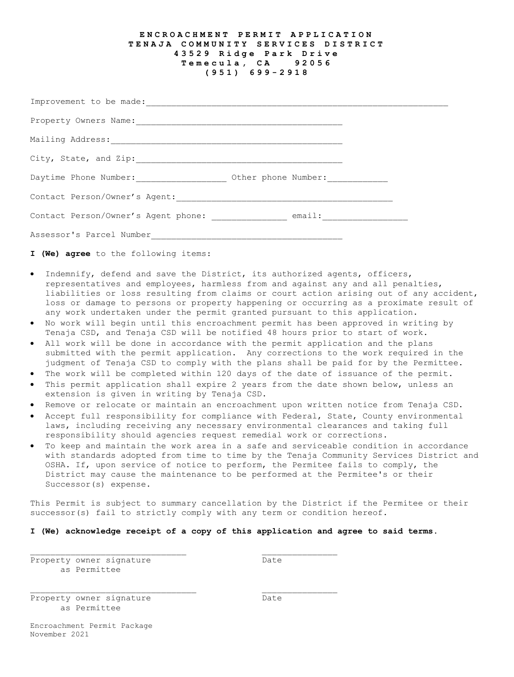#### **E NCROACHMENT PERMIT APPLICATION TENAJA COMMUNITY SERVICES DISTRICT 43529 Ridge Park Drive Temecula , CA 92056 (951) 6 9 9 - 2918**

| Improvement to be made:             |                     |  |
|-------------------------------------|---------------------|--|
| Property Owners Name:               |                     |  |
| Mailing Address:                    |                     |  |
| City, State, and Zip:               |                     |  |
| Daytime Phone Number:               | Other phone Number: |  |
| Contact Person/Owner's Agent:       |                     |  |
| Contact Person/Owner's Agent phone: | email:              |  |
| Assessor's Parcel Number            |                     |  |

**I (We) agree** to the following items:

- Indemnify, defend and save the District, its authorized agents, officers, representatives and employees, harmless from and against any and all penalties, liabilities or loss resulting from claims or court action arising out of any accident, loss or damage to persons or property happening or occurring as a proximate result of any work undertaken under the permit granted pursuant to this application.
- No work will begin until this encroachment permit has been approved in writing by Tenaja CSD, and Tenaja CSD will be notified 48 hours prior to start of work.
- All work will be done in accordance with the permit application and the plans submitted with the permit application. Any corrections to the work required in the judgment of Tenaja CSD to comply with the plans shall be paid for by the Permittee.
- The work will be completed within 120 days of the date of issuance of the permit.
- This permit application shall expire 2 years from the date shown below, unless an extension is given in writing by Tenaja CSD.
- Remove or relocate or maintain an encroachment upon written notice from Tenaja CSD.
- Accept full responsibility for compliance with Federal, State, County environmental laws, including receiving any necessary environmental clearances and taking full responsibility should agencies request remedial work or corrections.
- To keep and maintain the work area in a safe and serviceable condition in accordance with standards adopted from time to time by the Tenaja Community Services District and OSHA. If, upon service of notice to perform, the Permitee fails to comply, the District may cause the maintenance to be performed at the Permitee's or their Successor(s) expense.

This Permit is subject to summary cancellation by the District if the Permitee or their successor(s) fail to strictly comply with any term or condition hereof.

#### **I (We) acknowledge receipt of a copy of this application and agree to said terms.**

Property owner signature many contracts bate as Permittee

Property owner signature manufacture Date as Permittee

Encroachment Permit Package November 2021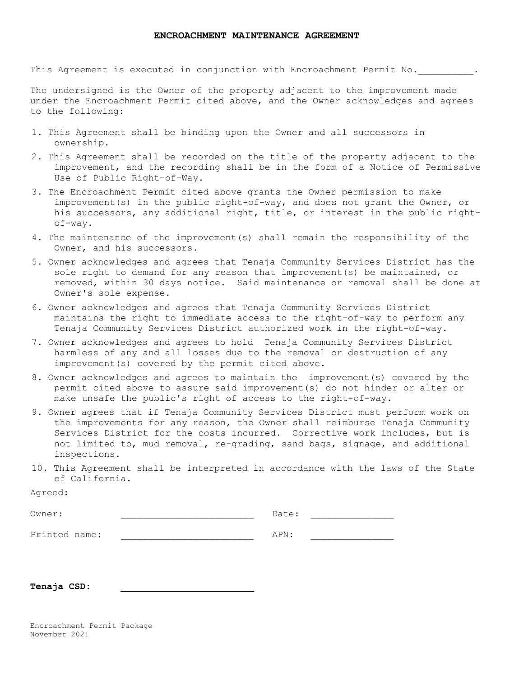This Agreement is executed in conjunction with Encroachment Permit No.

The undersigned is the Owner of the property adjacent to the improvement made under the Encroachment Permit cited above, and the Owner acknowledges and agrees to the following:

- 1. This Agreement shall be binding upon the Owner and all successors in ownership.
- 2. This Agreement shall be recorded on the title of the property adjacent to the improvement, and the recording shall be in the form of a Notice of Permissive Use of Public Right-of-Way.
- 3. The Encroachment Permit cited above grants the Owner permission to make improvement(s) in the public right-of-way, and does not grant the Owner, or his successors, any additional right, title, or interest in the public rightof-way.
- 4. The maintenance of the improvement(s) shall remain the responsibility of the Owner, and his successors.
- 5. Owner acknowledges and agrees that Tenaja Community Services District has the sole right to demand for any reason that improvement(s) be maintained, or removed, within 30 days notice. Said maintenance or removal shall be done at Owner's sole expense.
- 6. Owner acknowledges and agrees that Tenaja Community Services District maintains the right to immediate access to the right-of-way to perform any Tenaja Community Services District authorized work in the right-of-way.
- 7. Owner acknowledges and agrees to hold Tenaja Community Services District harmless of any and all losses due to the removal or destruction of any improvement(s) covered by the permit cited above.
- 8. Owner acknowledges and agrees to maintain the improvement(s) covered by the permit cited above to assure said improvement(s) do not hinder or alter or make unsafe the public's right of access to the right-of-way.
- 9. Owner agrees that if Tenaja Community Services District must perform work on the improvements for any reason, the Owner shall reimburse Tenaja Community Services District for the costs incurred. Corrective work includes, but is not limited to, mud removal, re-grading, sand bags, signage, and additional inspections.
- 10. This Agreement shall be interpreted in accordance with the laws of the State of California.

| Owner:        | Date: |  |
|---------------|-------|--|
| Printed name: | APN:  |  |

**Tenaja CSD: \_\_\_\_\_\_\_\_\_\_\_\_\_\_\_\_\_\_\_\_\_\_\_\_**

Agreed: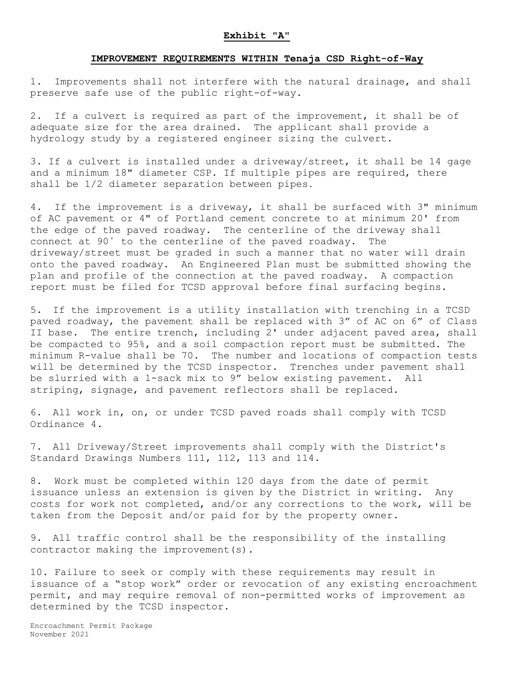#### **Exhibit "A"**

#### **IMPROVEMENT REQUIREMENTS WITHIN Tenaja CSD Right-of-Way**

1. Improvements shall not interfere with the natural drainage, and shall preserve safe use of the public right-of-way.

2. If a culvert is required as part of the improvement, it shall be of adequate size for the area drained. The applicant shall provide a hydrology study by a registered engineer sizing the culvert.

3. If a culvert is installed under a driveway/street, it shall be 14 gage and a minimum 18" diameter CSP. If multiple pipes are required, there shall be 1/2 diameter separation between pipes.

4. If the improvement is a driveway, it shall be surfaced with 3" minimum of AC pavement or 4" of Portland cement concrete to at minimum 20' from the edge of the paved roadway. The centerline of the driveway shall connect at 90˚ to the centerline of the paved roadway. The driveway/street must be graded in such a manner that no water will drain onto the paved roadway. An Engineered Plan must be submitted showing the plan and profile of the connection at the paved roadway. A compaction report must be filed for TCSD approval before final surfacing begins.

5. If the improvement is a utility installation with trenching in a TCSD paved roadway, the pavement shall be replaced with 3" of AC on 6" of Class II base. The entire trench, including 2' under adjacent paved area, shall be compacted to 95%, and a soil compaction report must be submitted. The minimum R-value shall be 70. The number and locations of compaction tests will be determined by the TCSD inspector. Trenches under pavement shall be slurried with a 1-sack mix to 9" below existing pavement. All striping, signage, and pavement reflectors shall be replaced.

6. All work in, on, or under TCSD paved roads shall comply with TCSD Ordinance 4.

7. All Driveway/Street improvements shall comply with the District's Standard Drawings Numbers 111, 112, 113 and 114.

8. Work must be completed within 120 days from the date of permit issuance unless an extension is given by the District in writing. Any costs for work not completed, and/or any corrections to the work, will be taken from the Deposit and/or paid for by the property owner.

9. All traffic control shall be the responsibility of the installing contractor making the improvement(s).

10. Failure to seek or comply with these requirements may result in issuance of a "stop work" order or revocation of any existing encroachment permit, and may require removal of non-permitted works of improvement as determined by the TCSD inspector.

Encroachment Permit Package November 2021